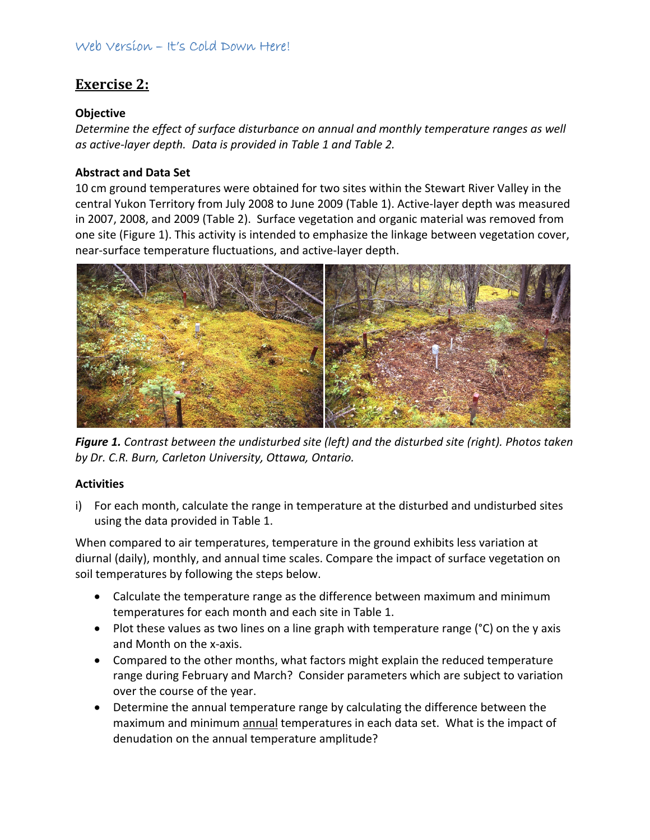### Web Version – It's Cold Down Here!

# **Exercise 2:**

#### **Objective**

*Determine the effect of surface disturbance on annual and monthly temperature ranges as well as active‐layer depth. Data is provided in Table 1 and Table 2.*

### **Abstract and Data Set**

10 cm ground temperatures were obtained for two sites within the Stewart River Valley in the central Yukon Territory from July 2008 to June 2009 (Table 1). Active‐layer depth was measured in 2007, 2008, and 2009 (Table 2). Surface vegetation and organic material was removed from one site (Figure 1). This activity is intended to emphasize the linkage between vegetation cover, near‐surface temperature fluctuations, and active‐layer depth.



*Figure 1. Contrast between the undisturbed site (left) and the disturbed site (right). Photos taken by Dr. C.R. Burn, Carleton University, Ottawa, Ontario.*

#### **Activities**

i) For each month, calculate the range in temperature at the disturbed and undisturbed sites using the data provided in Table 1.

When compared to air temperatures, temperature in the ground exhibits less variation at diurnal (daily), monthly, and annual time scales. Compare the impact of surface vegetation on soil temperatures by following the steps below.

- Calculate the temperature range as the difference between maximum and minimum temperatures for each month and each site in Table 1.
- Plot these values as two lines on a line graph with temperature range (°C) on the y axis and Month on the x‐axis.
- Compared to the other months, what factors might explain the reduced temperature range during February and March? Consider parameters which are subject to variation over the course of the year.
- Determine the annual temperature range by calculating the difference between the maximum and minimum annual temperatures in each data set. What is the impact of denudation on the annual temperature amplitude?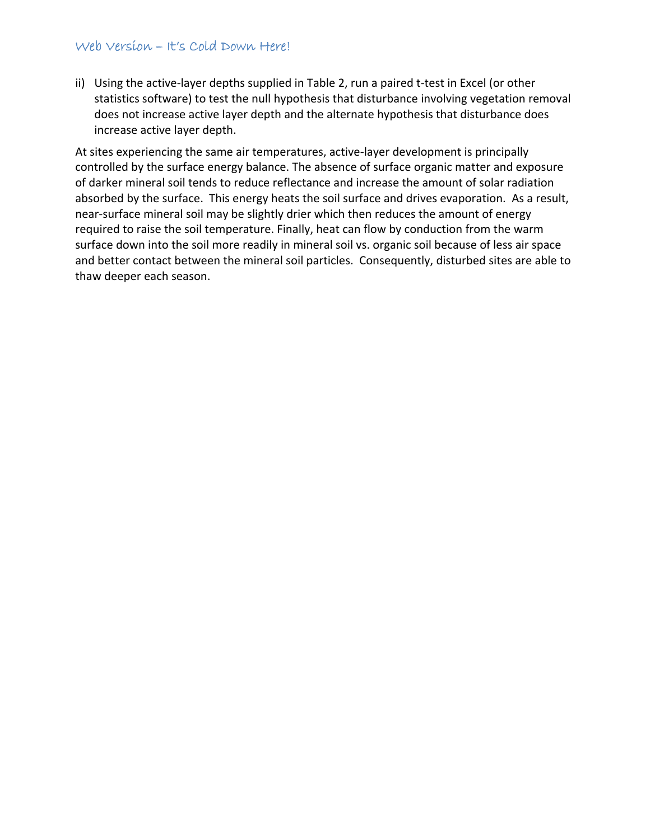#### Web Version – It's Cold Down Here!

ii) Using the active‐layer depths supplied in Table 2, run a paired t‐test in Excel (or other statistics software) to test the null hypothesis that disturbance involving vegetation removal does not increase active layer depth and the alternate hypothesis that disturbance does increase active layer depth.

At sites experiencing the same air temperatures, active‐layer development is principally controlled by the surface energy balance. The absence of surface organic matter and exposure of darker mineral soil tends to reduce reflectance and increase the amount of solar radiation absorbed by the surface. This energy heats the soil surface and drives evaporation. As a result, near-surface mineral soil may be slightly drier which then reduces the amount of energy required to raise the soil temperature. Finally, heat can flow by conduction from the warm surface down into the soil more readily in mineral soil vs. organic soil because of less air space and better contact between the mineral soil particles. Consequently, disturbed sites are able to thaw deeper each season.